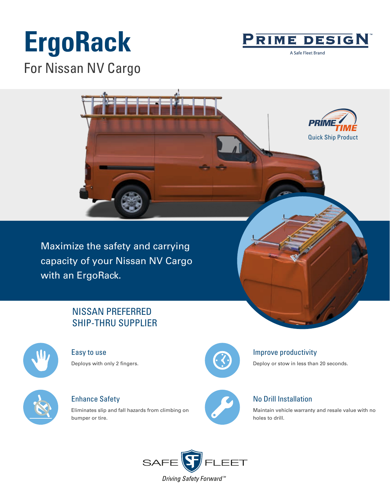# **ErgoRack** For Nissan NV Cargo



A Safe Fleet Brand



Maximize the safety and carrying capacity of your Nissan NV Cargo with an ErgoRack.

# NISSAN PREFERRED SHIP-THRU SUPPLIER



Easy to use Deploys with only 2 fingers.



Enhance Safety

Eliminates slip and fall hazards from climbing on bumper or tire.



## Improve productivity

Deploy or stow in less than 20 seconds.



## No Drill Installation

Maintain vehicle warranty and resale value with no holes to drill.